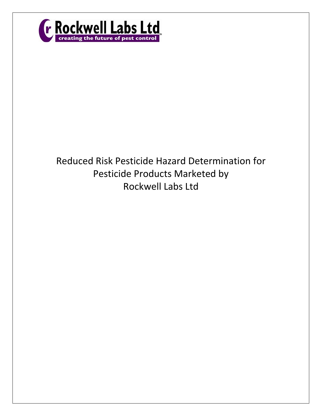

# Reduced Risk Pesticide Hazard Determination for Pesticide Products Marketed by Rockwell Labs Ltd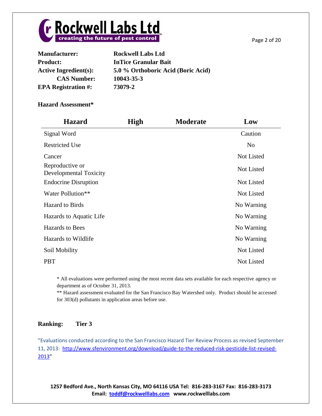

| <b>Manufacturer:</b>         | <b>Rockwell Labs Ltd</b>           |
|------------------------------|------------------------------------|
| <b>Product:</b>              | <b>InTice Granular Bait</b>        |
| <b>Active Ingredient(s):</b> | 5.0 % Orthoboric Acid (Boric Acid) |
| <b>CAS Number:</b>           | 10043-35-3                         |
| <b>EPA Registration #:</b>   | 73079-2                            |

| <b>Hazard</b>                             | <b>High</b> | <b>Moderate</b> | Low               |
|-------------------------------------------|-------------|-----------------|-------------------|
| Signal Word                               |             |                 | Caution           |
| <b>Restricted Use</b>                     |             |                 | N <sub>o</sub>    |
| Cancer                                    |             |                 | <b>Not Listed</b> |
| Reproductive or<br>Developmental Toxicity |             |                 | Not Listed        |
| <b>Endocrine Disruption</b>               |             |                 | Not Listed        |
| Water Pollution**                         |             |                 | Not Listed        |
| <b>Hazard</b> to Birds                    |             |                 | No Warning        |
| Hazards to Aquatic Life                   |             |                 | No Warning        |
| Hazards to Bees                           |             |                 | No Warning        |
| Hazards to Wildlife                       |             |                 | No Warning        |
| Soil Mobility                             |             |                 | Not Listed        |
| <b>PBT</b>                                |             |                 | <b>Not Listed</b> |

\* All evaluations were performed using the most recent data sets available for each respective agency or department as of October 31, 2013.

\*\* Hazard assessment evaluated for the San Francisco Bay Watershed only. Product should be accessed for 303(d) pollutants in application areas before use.

# **Ranking: Tier 3**

"Evaluations conducted according to the San Francisco Hazard Tier Review Process as revised September 11, 2013: [http://www.sfenvironment.org/download/guide-to-the-reduced-risk-pesticide-list-revised-](http://www.sfenvironment.org/download/guide-to-the-reduced-risk-pesticide-list-revised-2013)[2013](http://www.sfenvironment.org/download/guide-to-the-reduced-risk-pesticide-list-revised-2013)"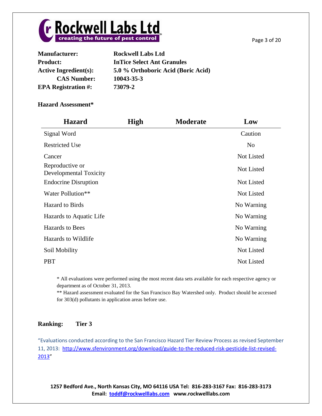

| <b>Manufacturer:</b>         | <b>Rockwell Labs Ltd</b>           |
|------------------------------|------------------------------------|
| <b>Product:</b>              | <b>InTice Select Ant Granules</b>  |
| <b>Active Ingredient(s):</b> | 5.0 % Orthoboric Acid (Boric Acid) |
| <b>CAS Number:</b>           | 10043-35-3                         |
| <b>EPA Registration #:</b>   | 73079-2                            |

| <b>Hazard</b>                             | <b>High</b> | <b>Moderate</b> | Low               |
|-------------------------------------------|-------------|-----------------|-------------------|
| Signal Word                               |             |                 | Caution           |
| <b>Restricted Use</b>                     |             |                 | No                |
| Cancer                                    |             |                 | Not Listed        |
| Reproductive or<br>Developmental Toxicity |             |                 | <b>Not Listed</b> |
| <b>Endocrine Disruption</b>               |             |                 | <b>Not Listed</b> |
| Water Pollution**                         |             |                 | <b>Not Listed</b> |
| <b>Hazard</b> to Birds                    |             |                 | No Warning        |
| Hazards to Aquatic Life                   |             |                 | No Warning        |
| Hazards to Bees                           |             |                 | No Warning        |
| Hazards to Wildlife                       |             |                 | No Warning        |
| Soil Mobility                             |             |                 | <b>Not Listed</b> |
| <b>PBT</b>                                |             |                 | <b>Not Listed</b> |

\* All evaluations were performed using the most recent data sets available for each respective agency or department as of October 31, 2013.

\*\* Hazard assessment evaluated for the San Francisco Bay Watershed only. Product should be accessed for 303(d) pollutants in application areas before use.

# **Ranking: Tier 3**

"Evaluations conducted according to the San Francisco Hazard Tier Review Process as revised September 11, 2013: [http://www.sfenvironment.org/download/guide-to-the-reduced-risk-pesticide-list-revised-](http://www.sfenvironment.org/download/guide-to-the-reduced-risk-pesticide-list-revised-2013)[2013](http://www.sfenvironment.org/download/guide-to-the-reduced-risk-pesticide-list-revised-2013)"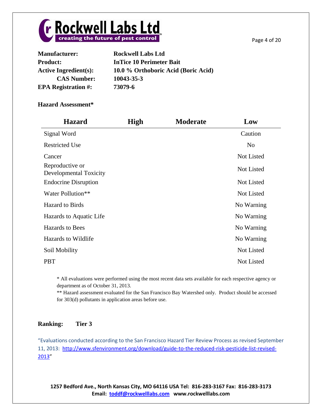

| <b>Manufacturer:</b>         | <b>Rockwell Labs Ltd</b>            |
|------------------------------|-------------------------------------|
| <b>Product:</b>              | <b>InTice 10 Perimeter Bait</b>     |
| <b>Active Ingredient(s):</b> | 10.0 % Orthoboric Acid (Boric Acid) |
| <b>CAS Number:</b>           | 10043-35-3                          |
| <b>EPA Registration #:</b>   | 73079-6                             |

| <b>Hazard</b>                             | <b>High</b> | <b>Moderate</b> | Low               |
|-------------------------------------------|-------------|-----------------|-------------------|
| Signal Word                               |             |                 | Caution           |
| <b>Restricted Use</b>                     |             |                 | No                |
| Cancer                                    |             |                 | Not Listed        |
| Reproductive or<br>Developmental Toxicity |             |                 | <b>Not Listed</b> |
| <b>Endocrine Disruption</b>               |             |                 | <b>Not Listed</b> |
| Water Pollution**                         |             |                 | Not Listed        |
| <b>Hazard</b> to Birds                    |             |                 | No Warning        |
| Hazards to Aquatic Life                   |             |                 | No Warning        |
| Hazards to Bees                           |             |                 | No Warning        |
| Hazards to Wildlife                       |             |                 | No Warning        |
| Soil Mobility                             |             |                 | Not Listed        |
| <b>PBT</b>                                |             |                 | Not Listed        |

\* All evaluations were performed using the most recent data sets available for each respective agency or department as of October 31, 2013.

\*\* Hazard assessment evaluated for the San Francisco Bay Watershed only. Product should be accessed for 303(d) pollutants in application areas before use.

# **Ranking: Tier 3**

"Evaluations conducted according to the San Francisco Hazard Tier Review Process as revised September 11, 2013: [http://www.sfenvironment.org/download/guide-to-the-reduced-risk-pesticide-list-revised-](http://www.sfenvironment.org/download/guide-to-the-reduced-risk-pesticide-list-revised-2013)[2013](http://www.sfenvironment.org/download/guide-to-the-reduced-risk-pesticide-list-revised-2013)"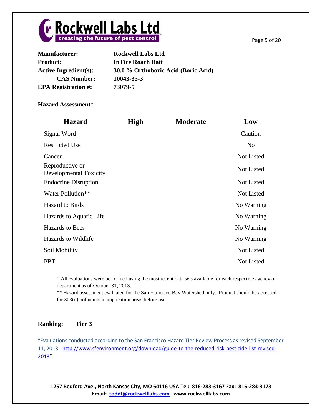

| 30.0 % Orthoboric Acid (Boric Acid) |
|-------------------------------------|
|                                     |
|                                     |
|                                     |

| <b>Hazard</b>                             | <b>High</b> | <b>Moderate</b> | Low            |
|-------------------------------------------|-------------|-----------------|----------------|
| Signal Word                               |             |                 | Caution        |
| <b>Restricted Use</b>                     |             |                 | N <sub>0</sub> |
| Cancer                                    |             |                 | Not Listed     |
| Reproductive or<br>Developmental Toxicity |             |                 | Not Listed     |
| <b>Endocrine Disruption</b>               |             |                 | Not Listed     |
| Water Pollution**                         |             |                 | Not Listed     |
| <b>Hazard</b> to Birds                    |             |                 | No Warning     |
| Hazards to Aquatic Life                   |             |                 | No Warning     |
| Hazards to Bees                           |             |                 | No Warning     |
| Hazards to Wildlife                       |             |                 | No Warning     |
| Soil Mobility                             |             |                 | Not Listed     |
| <b>PBT</b>                                |             |                 | Not Listed     |

\* All evaluations were performed using the most recent data sets available for each respective agency or department as of October 31, 2013.

\*\* Hazard assessment evaluated for the San Francisco Bay Watershed only. Product should be accessed for 303(d) pollutants in application areas before use.

# **Ranking: Tier 3**

"Evaluations conducted according to the San Francisco Hazard Tier Review Process as revised September 11, 2013: [http://www.sfenvironment.org/download/guide-to-the-reduced-risk-pesticide-list-revised-](http://www.sfenvironment.org/download/guide-to-the-reduced-risk-pesticide-list-revised-2013)[2013](http://www.sfenvironment.org/download/guide-to-the-reduced-risk-pesticide-list-revised-2013)"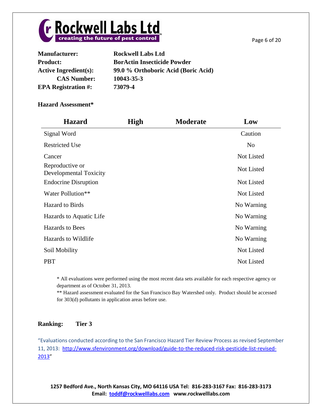

| <b>Manufacturer:</b>         | <b>Rockwell Labs Ltd</b>            |
|------------------------------|-------------------------------------|
| <b>Product:</b>              | <b>BorActin Insecticide Powder</b>  |
| <b>Active Ingredient(s):</b> | 99.0 % Orthoboric Acid (Boric Acid) |
| <b>CAS Number:</b>           | 10043-35-3                          |
| <b>EPA Registration #:</b>   | 73079-4                             |
|                              |                                     |

| <b>Hazard</b>                             | <b>High</b> | <b>Moderate</b> | Low               |
|-------------------------------------------|-------------|-----------------|-------------------|
| Signal Word                               |             |                 | Caution           |
| <b>Restricted Use</b>                     |             |                 | No                |
| Cancer                                    |             |                 | Not Listed        |
| Reproductive or<br>Developmental Toxicity |             |                 | <b>Not Listed</b> |
| <b>Endocrine Disruption</b>               |             |                 | <b>Not Listed</b> |
| Water Pollution**                         |             |                 | Not Listed        |
| <b>Hazard</b> to Birds                    |             |                 | No Warning        |
| Hazards to Aquatic Life                   |             |                 | No Warning        |
| Hazards to Bees                           |             |                 | No Warning        |
| Hazards to Wildlife                       |             |                 | No Warning        |
| Soil Mobility                             |             |                 | Not Listed        |
| <b>PBT</b>                                |             |                 | Not Listed        |

\* All evaluations were performed using the most recent data sets available for each respective agency or department as of October 31, 2013.

\*\* Hazard assessment evaluated for the San Francisco Bay Watershed only. Product should be accessed for 303(d) pollutants in application areas before use.

# **Ranking: Tier 3**

"Evaluations conducted according to the San Francisco Hazard Tier Review Process as revised September 11, 2013: [http://www.sfenvironment.org/download/guide-to-the-reduced-risk-pesticide-list-revised-](http://www.sfenvironment.org/download/guide-to-the-reduced-risk-pesticide-list-revised-2013)[2013](http://www.sfenvironment.org/download/guide-to-the-reduced-risk-pesticide-list-revised-2013)"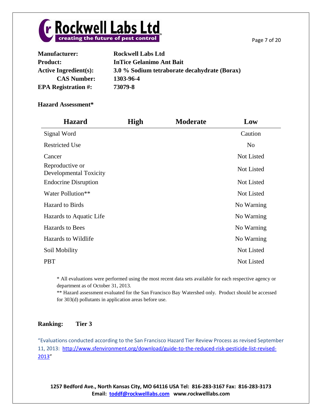



| <b>Manufacturer:</b>         | <b>Rockwell Labs Ltd</b>                     |
|------------------------------|----------------------------------------------|
| <b>Product:</b>              | <b>InTice Gelanimo Ant Bait</b>              |
| <b>Active Ingredient(s):</b> | 3.0 % Sodium tetraborate decahydrate (Borax) |
| <b>CAS Number:</b>           | 1303-96-4                                    |
| <b>EPA Registration #:</b>   | 73079-8                                      |

| <b>Hazard</b>                             | <b>High</b> | <b>Moderate</b> | Low               |
|-------------------------------------------|-------------|-----------------|-------------------|
| Signal Word                               |             |                 | Caution           |
| <b>Restricted Use</b>                     |             |                 | No                |
| Cancer                                    |             |                 | Not Listed        |
| Reproductive or<br>Developmental Toxicity |             |                 | Not Listed        |
| <b>Endocrine Disruption</b>               |             |                 | <b>Not Listed</b> |
| Water Pollution**                         |             |                 | <b>Not Listed</b> |
| <b>Hazard</b> to Birds                    |             |                 | No Warning        |
| Hazards to Aquatic Life                   |             |                 | No Warning        |
| <b>Hazards</b> to Bees                    |             |                 | No Warning        |
| Hazards to Wildlife                       |             |                 | No Warning        |
| Soil Mobility                             |             |                 | Not Listed        |
| <b>PBT</b>                                |             |                 | Not Listed        |

\* All evaluations were performed using the most recent data sets available for each respective agency or department as of October 31, 2013.

\*\* Hazard assessment evaluated for the San Francisco Bay Watershed only. Product should be accessed for 303(d) pollutants in application areas before use.

# **Ranking: Tier 3**

"Evaluations conducted according to the San Francisco Hazard Tier Review Process as revised September 11, 2013: [http://www.sfenvironment.org/download/guide-to-the-reduced-risk-pesticide-list-revised-](http://www.sfenvironment.org/download/guide-to-the-reduced-risk-pesticide-list-revised-2013)[2013](http://www.sfenvironment.org/download/guide-to-the-reduced-risk-pesticide-list-revised-2013)"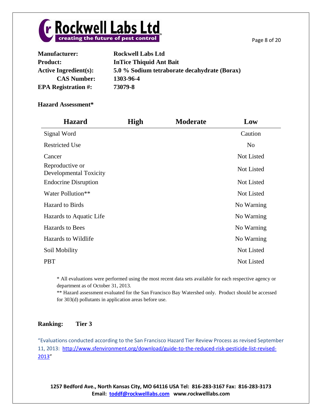



| <b>Manufacturer:</b>         | <b>Rockwell Labs Ltd</b>                     |
|------------------------------|----------------------------------------------|
| <b>Product:</b>              | <b>InTice Thiquid Ant Bait</b>               |
| <b>Active Ingredient(s):</b> | 5.0 % Sodium tetraborate decahydrate (Borax) |
| <b>CAS Number:</b>           | 1303-96-4                                    |
| <b>EPA Registration #:</b>   | 73079-8                                      |

| <b>Hazard</b>                             | <b>High</b> | <b>Moderate</b> | Low            |
|-------------------------------------------|-------------|-----------------|----------------|
| Signal Word                               |             |                 | Caution        |
| <b>Restricted Use</b>                     |             |                 | N <sub>0</sub> |
| Cancer                                    |             |                 | Not Listed     |
| Reproductive or<br>Developmental Toxicity |             |                 | Not Listed     |
| <b>Endocrine Disruption</b>               |             |                 | Not Listed     |
| Water Pollution**                         |             |                 | Not Listed     |
| <b>Hazard</b> to Birds                    |             |                 | No Warning     |
| Hazards to Aquatic Life                   |             |                 | No Warning     |
| <b>Hazards</b> to Bees                    |             |                 | No Warning     |
| Hazards to Wildlife                       |             |                 | No Warning     |
| Soil Mobility                             |             |                 | Not Listed     |
| <b>PBT</b>                                |             |                 | Not Listed     |

\* All evaluations were performed using the most recent data sets available for each respective agency or department as of October 31, 2013.

\*\* Hazard assessment evaluated for the San Francisco Bay Watershed only. Product should be accessed for 303(d) pollutants in application areas before use.

# **Ranking: Tier 3**

"Evaluations conducted according to the San Francisco Hazard Tier Review Process as revised September 11, 2013: [http://www.sfenvironment.org/download/guide-to-the-reduced-risk-pesticide-list-revised-](http://www.sfenvironment.org/download/guide-to-the-reduced-risk-pesticide-list-revised-2013)[2013](http://www.sfenvironment.org/download/guide-to-the-reduced-risk-pesticide-list-revised-2013)"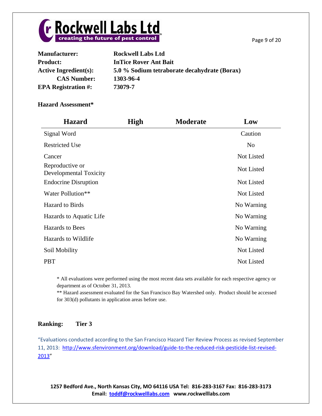



| <b>Manufacturer:</b>         | <b>Rockwell Labs Ltd</b>                     |
|------------------------------|----------------------------------------------|
| <b>Product:</b>              | <b>InTice Rover Ant Bait</b>                 |
| <b>Active Ingredient(s):</b> | 5.0 % Sodium tetraborate decahydrate (Borax) |
| <b>CAS Number:</b>           | 1303-96-4                                    |
| <b>EPA Registration #:</b>   | 73079-7                                      |

| <b>Hazard</b>                             | <b>High</b> | <b>Moderate</b> | Low            |
|-------------------------------------------|-------------|-----------------|----------------|
| Signal Word                               |             |                 | Caution        |
| <b>Restricted Use</b>                     |             |                 | N <sub>0</sub> |
| Cancer                                    |             |                 | Not Listed     |
| Reproductive or<br>Developmental Toxicity |             |                 | Not Listed     |
| <b>Endocrine Disruption</b>               |             |                 | Not Listed     |
| Water Pollution**                         |             |                 | Not Listed     |
| <b>Hazard</b> to Birds                    |             |                 | No Warning     |
| Hazards to Aquatic Life                   |             |                 | No Warning     |
| <b>Hazards</b> to Bees                    |             |                 | No Warning     |
| Hazards to Wildlife                       |             |                 | No Warning     |
| Soil Mobility                             |             |                 | Not Listed     |
| <b>PBT</b>                                |             |                 | Not Listed     |

\* All evaluations were performed using the most recent data sets available for each respective agency or department as of October 31, 2013.

\*\* Hazard assessment evaluated for the San Francisco Bay Watershed only. Product should be accessed for 303(d) pollutants in application areas before use.

# **Ranking: Tier 3**

"Evaluations conducted according to the San Francisco Hazard Tier Review Process as revised September 11, 2013: [http://www.sfenvironment.org/download/guide-to-the-reduced-risk-pesticide-list-revised-](http://www.sfenvironment.org/download/guide-to-the-reduced-risk-pesticide-list-revised-2013)[2013](http://www.sfenvironment.org/download/guide-to-the-reduced-risk-pesticide-list-revised-2013)"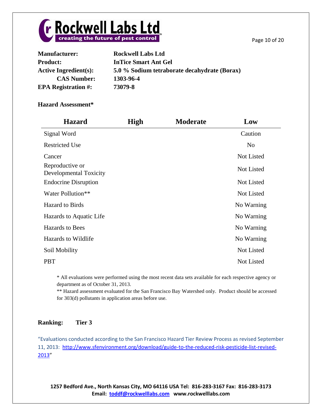Page 10 of 20



| <b>Manufacturer:</b>         | <b>Rockwell Labs Ltd</b>                     |
|------------------------------|----------------------------------------------|
| <b>Product:</b>              | <b>InTice Smart Ant Gel</b>                  |
| <b>Active Ingredient(s):</b> | 5.0 % Sodium tetraborate decahydrate (Borax) |
| <b>CAS Number:</b>           | 1303-96-4                                    |
| <b>EPA Registration #:</b>   | 73079-8                                      |

#### **Hazard Assessment\***

| <b>Hazard</b>                             | <b>High</b> | <b>Moderate</b> | Low            |
|-------------------------------------------|-------------|-----------------|----------------|
| Signal Word                               |             |                 | Caution        |
| <b>Restricted Use</b>                     |             |                 | N <sub>0</sub> |
| Cancer                                    |             |                 | Not Listed     |
| Reproductive or<br>Developmental Toxicity |             |                 | Not Listed     |
| <b>Endocrine Disruption</b>               |             |                 | Not Listed     |
| Water Pollution**                         |             |                 | Not Listed     |
| <b>Hazard</b> to Birds                    |             |                 | No Warning     |
| Hazards to Aquatic Life                   |             |                 | No Warning     |
| Hazards to Bees                           |             |                 | No Warning     |
| Hazards to Wildlife                       |             |                 | No Warning     |
| Soil Mobility                             |             |                 | Not Listed     |
| <b>PBT</b>                                |             |                 | Not Listed     |

\* All evaluations were performed using the most recent data sets available for each respective agency or department as of October 31, 2013.

\*\* Hazard assessment evaluated for the San Francisco Bay Watershed only. Product should be accessed for 303(d) pollutants in application areas before use.

# **Ranking: Tier 3**

"Evaluations conducted according to the San Francisco Hazard Tier Review Process as revised September 11, 2013: [http://www.sfenvironment.org/download/guide-to-the-reduced-risk-pesticide-list-revised-](http://www.sfenvironment.org/download/guide-to-the-reduced-risk-pesticide-list-revised-2013)[2013](http://www.sfenvironment.org/download/guide-to-the-reduced-risk-pesticide-list-revised-2013)"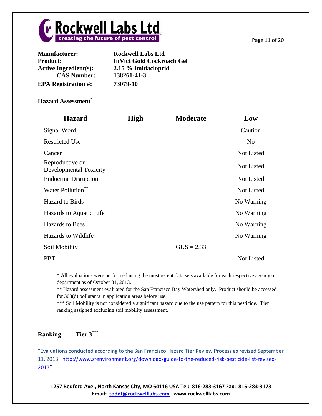

| <b>Manufacturer:</b>         | <b>Rockwell Labs Ltd</b>         |
|------------------------------|----------------------------------|
| <b>Product:</b>              | <b>InVict Gold Cockroach Gel</b> |
| <b>Active Ingredient(s):</b> | 2.15 % Imidacloprid              |
| <b>CAS Number:</b>           | 138261-41-3                      |
| <b>EPA Registration #:</b>   | 73079-10                         |

| <b>Hazard</b>                                    | <b>High</b> | <b>Moderate</b> | Low               |
|--------------------------------------------------|-------------|-----------------|-------------------|
| Signal Word                                      |             |                 | Caution           |
| <b>Restricted Use</b>                            |             |                 | N <sub>o</sub>    |
| Cancer                                           |             |                 | Not Listed        |
| Reproductive or<br><b>Developmental Toxicity</b> |             |                 | Not Listed        |
| <b>Endocrine Disruption</b>                      |             |                 | Not Listed        |
| Water Pollution**                                |             |                 | <b>Not Listed</b> |
| <b>Hazard</b> to Birds                           |             |                 | No Warning        |
| Hazards to Aquatic Life                          |             |                 | No Warning        |
| <b>Hazards</b> to Bees                           |             |                 | No Warning        |
| Hazards to Wildlife                              |             |                 | No Warning        |
| Soil Mobility                                    |             | $GUS = 2.33$    |                   |
| <b>PBT</b>                                       |             |                 | Not Listed        |

\* All evaluations were performed using the most recent data sets available for each respective agency or department as of October 31, 2013.

\*\* Hazard assessment evaluated for the San Francisco Bay Watershed only. Product should be accessed for 303(d) pollutants in application areas before use.

\*\*\* Soil Mobility is not considered a significant hazard due to the use pattern for this pesticide. Tier ranking assigned excluding soil mobility assessment.

#### **Ranking:** Tier 3\*\*\*

"Evaluations conducted according to the San Francisco Hazard Tier Review Process as revised September 11, 2013: [http://www.sfenvironment.org/download/guide-to-the-reduced-risk-pesticide-list-revised-](http://www.sfenvironment.org/download/guide-to-the-reduced-risk-pesticide-list-revised-2013)[2013](http://www.sfenvironment.org/download/guide-to-the-reduced-risk-pesticide-list-revised-2013)"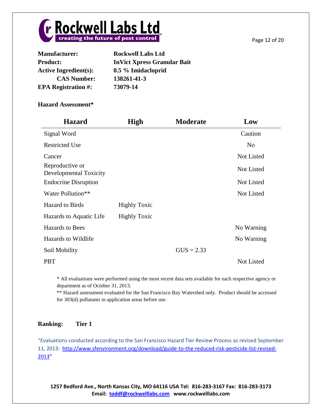

| <b>Manufacturer:</b>         | <b>Rockwell Labs Ltd</b>           |
|------------------------------|------------------------------------|
| <b>Product:</b>              | <b>InVict Xpress Granular Bait</b> |
| <b>Active Ingredient(s):</b> | 0.5 % Imidacloprid                 |
| <b>CAS Number:</b>           | 138261-41-3                        |
| <b>EPA Registration #:</b>   | 73079-14                           |

| <b>Hazard</b>                             | <b>High</b>         | <b>Moderate</b> | Low               |
|-------------------------------------------|---------------------|-----------------|-------------------|
| Signal Word                               |                     |                 | Caution           |
| <b>Restricted Use</b>                     |                     |                 | N <sub>o</sub>    |
| Cancer                                    |                     |                 | Not Listed        |
| Reproductive or<br>Developmental Toxicity |                     |                 | Not Listed        |
| <b>Endocrine Disruption</b>               |                     |                 | Not Listed        |
| Water Pollution**                         |                     |                 | <b>Not Listed</b> |
| <b>Hazard</b> to Birds                    | <b>Highly Toxic</b> |                 |                   |
| Hazards to Aquatic Life                   | <b>Highly Toxic</b> |                 |                   |
| <b>Hazards</b> to Bees                    |                     |                 | No Warning        |
| Hazards to Wildlife                       |                     |                 | No Warning        |
| Soil Mobility                             |                     | $GUS = 2.33$    |                   |
| <b>PBT</b>                                |                     |                 | Not Listed        |

\* All evaluations were performed using the most recent data sets available for each respective agency or department as of October 31, 2013.

\*\* Hazard assessment evaluated for the San Francisco Bay Watershed only. Product should be accessed for 303(d) pollutants in application areas before use.

# **Ranking: Tier 1**

"Evaluations conducted according to the San Francisco Hazard Tier Review Process as revised September 11, 2013: [http://www.sfenvironment.org/download/guide-to-the-reduced-risk-pesticide-list-revised-](http://www.sfenvironment.org/download/guide-to-the-reduced-risk-pesticide-list-revised-2013)[2013](http://www.sfenvironment.org/download/guide-to-the-reduced-risk-pesticide-list-revised-2013)"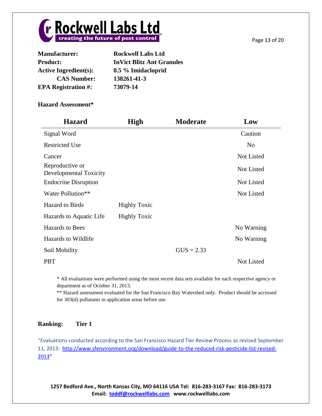

| <b>Manufacturer:</b>         | <b>Rockwell Labs Ltd</b>         |
|------------------------------|----------------------------------|
| <b>Product:</b>              | <b>InVict Blitz Ant Granules</b> |
| <b>Active Ingredient(s):</b> | 0.5 % Imidacloprid               |
| <b>CAS Number:</b>           | 138261-41-3                      |
| <b>EPA Registration #:</b>   | 73079-14                         |

| <b>Hazard</b>                             | <b>High</b>         | <b>Moderate</b> | Low               |
|-------------------------------------------|---------------------|-----------------|-------------------|
| Signal Word                               |                     |                 | Caution           |
| <b>Restricted Use</b>                     |                     |                 | N <sub>o</sub>    |
| Cancer                                    |                     |                 | Not Listed        |
| Reproductive or<br>Developmental Toxicity |                     |                 | Not Listed        |
| <b>Endocrine Disruption</b>               |                     |                 | Not Listed        |
| Water Pollution**                         |                     |                 | <b>Not Listed</b> |
| <b>Hazard</b> to Birds                    | <b>Highly Toxic</b> |                 |                   |
| Hazards to Aquatic Life                   | <b>Highly Toxic</b> |                 |                   |
| <b>Hazards to Bees</b>                    |                     |                 | No Warning        |
| Hazards to Wildlife                       |                     |                 | No Warning        |
| Soil Mobility                             |                     | $GUS = 2.33$    |                   |
| <b>PBT</b>                                |                     |                 | Not Listed        |

\* All evaluations were performed using the most recent data sets available for each respective agency or department as of October 31, 2013.

\*\* Hazard assessment evaluated for the San Francisco Bay Watershed only. Product should be accessed for 303(d) pollutants in application areas before use.

# **Ranking: Tier 1**

"Evaluations conducted according to the San Francisco Hazard Tier Review Process as revised September 11, 2013: [http://www.sfenvironment.org/download/guide-to-the-reduced-risk-pesticide-list-revised-](http://www.sfenvironment.org/download/guide-to-the-reduced-risk-pesticide-list-revised-2013)[2013](http://www.sfenvironment.org/download/guide-to-the-reduced-risk-pesticide-list-revised-2013)"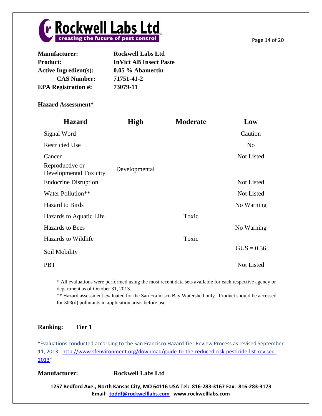

| <b>Manufacturer:</b>         | <b>Rockwell Labs Ltd</b>      |
|------------------------------|-------------------------------|
| <b>Product:</b>              | <b>InVict AB Insect Paste</b> |
| <b>Active Ingredient(s):</b> | 0.05 % Abamectin              |
| <b>CAS Number:</b>           | 71751-41-2                    |
| <b>EPA Registration #:</b>   | 73079-11                      |

| <b>Hazard</b>                                    | High          | <b>Moderate</b> | Low            |
|--------------------------------------------------|---------------|-----------------|----------------|
| Signal Word                                      |               |                 | Caution        |
| <b>Restricted Use</b>                            |               |                 | N <sub>0</sub> |
| Cancer                                           |               |                 | Not Listed     |
| Reproductive or<br><b>Developmental Toxicity</b> | Developmental |                 |                |
| <b>Endocrine Disruption</b>                      |               |                 | Not Listed     |
| Water Pollution**                                |               |                 | Not Listed     |
| <b>Hazard</b> to Birds                           |               |                 | No Warning     |
| Hazards to Aquatic Life                          |               | Toxic           |                |
| <b>Hazards</b> to Bees                           |               |                 | No Warning     |
| Hazards to Wildlife                              |               | Toxic           |                |
| Soil Mobility                                    |               |                 | $GUS = 0.36$   |
| <b>PBT</b>                                       |               |                 | Not Listed     |

\* All evaluations were performed using the most recent data sets available for each respective agency or department as of October 31, 2013.

\*\* Hazard assessment evaluated for the San Francisco Bay Watershed only. Product should be accessed for 303(d) pollutants in application areas before use.

# **Ranking: Tier 1**

"Evaluations conducted according to the San Francisco Hazard Tier Review Process as revised September 11, 2013: [http://www.sfenvironment.org/download/guide-to-the-reduced-risk-pesticide-list-revised-](http://www.sfenvironment.org/download/guide-to-the-reduced-risk-pesticide-list-revised-2013)[2013](http://www.sfenvironment.org/download/guide-to-the-reduced-risk-pesticide-list-revised-2013)"

**Manufacturer: Rockwell Labs Ltd**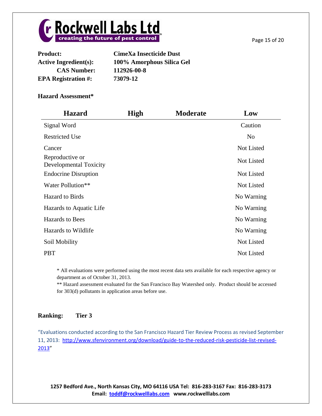

| <b>Product:</b>              | <b>CimeXa Insecticide Dust</b> |
|------------------------------|--------------------------------|
| <b>Active Ingredient(s):</b> | 100% Amorphous Silica Gel      |
| <b>CAS Number:</b>           | 112926-00-8                    |
| <b>EPA Registration #:</b>   | 73079-12                       |

| <b>Hazard</b>                                    | <b>High</b> | <b>Moderate</b> | Low            |
|--------------------------------------------------|-------------|-----------------|----------------|
| Signal Word                                      |             |                 | Caution        |
| <b>Restricted Use</b>                            |             |                 | N <sub>0</sub> |
| Cancer                                           |             |                 | Not Listed     |
| Reproductive or<br><b>Developmental Toxicity</b> |             |                 | Not Listed     |
| <b>Endocrine Disruption</b>                      |             |                 | Not Listed     |
| Water Pollution**                                |             |                 | Not Listed     |
| <b>Hazard</b> to Birds                           |             |                 | No Warning     |
| Hazards to Aquatic Life                          |             |                 | No Warning     |
| <b>Hazards</b> to Bees                           |             |                 | No Warning     |
| Hazards to Wildlife                              |             |                 | No Warning     |
| Soil Mobility                                    |             |                 | Not Listed     |
| <b>PBT</b>                                       |             |                 | Not Listed     |

\* All evaluations were performed using the most recent data sets available for each respective agency or department as of October 31, 2013.

\*\* Hazard assessment evaluated for the San Francisco Bay Watershed only. Product should be accessed for 303(d) pollutants in application areas before use.

# **Ranking: Tier 3**

"Evaluations conducted according to the San Francisco Hazard Tier Review Process as revised September 11, 2013: [http://www.sfenvironment.org/download/guide-to-the-reduced-risk-pesticide-list-revised-](http://www.sfenvironment.org/download/guide-to-the-reduced-risk-pesticide-list-revised-2013)[2013](http://www.sfenvironment.org/download/guide-to-the-reduced-risk-pesticide-list-revised-2013)"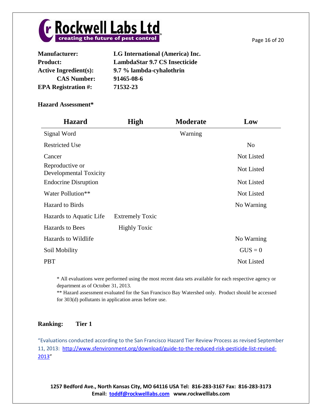

| <b>Manufacturer:</b>         | LG International (America) Inc.      |
|------------------------------|--------------------------------------|
| <b>Product:</b>              | <b>LambdaStar 9.7 CS Insecticide</b> |
| <b>Active Ingredient(s):</b> | 9.7 % lambda-cyhalothrin             |
| <b>CAS Number:</b>           | 91465-08-6                           |
| <b>EPA Registration #:</b>   | 71532-23                             |

| <b>Hazard</b>                             | <b>High</b>            | <b>Moderate</b> | Low            |
|-------------------------------------------|------------------------|-----------------|----------------|
| Signal Word                               |                        | Warning         |                |
| <b>Restricted Use</b>                     |                        |                 | N <sub>o</sub> |
| Cancer                                    |                        |                 | Not Listed     |
| Reproductive or<br>Developmental Toxicity |                        |                 | Not Listed     |
| <b>Endocrine Disruption</b>               |                        |                 | Not Listed     |
| Water Pollution**                         |                        |                 | Not Listed     |
| <b>Hazard</b> to Birds                    |                        |                 | No Warning     |
| Hazards to Aquatic Life                   | <b>Extremely Toxic</b> |                 |                |
| <b>Hazards</b> to Bees                    | <b>Highly Toxic</b>    |                 |                |
| Hazards to Wildlife                       |                        |                 | No Warning     |
| Soil Mobility                             |                        |                 | $GUS = 0$      |
| <b>PBT</b>                                |                        |                 | Not Listed     |

\* All evaluations were performed using the most recent data sets available for each respective agency or department as of October 31, 2013.

\*\* Hazard assessment evaluated for the San Francisco Bay Watershed only. Product should be accessed for 303(d) pollutants in application areas before use.

# **Ranking: Tier 1**

"Evaluations conducted according to the San Francisco Hazard Tier Review Process as revised September 11, 2013: [http://www.sfenvironment.org/download/guide-to-the-reduced-risk-pesticide-list-revised-](http://www.sfenvironment.org/download/guide-to-the-reduced-risk-pesticide-list-revised-2013)[2013](http://www.sfenvironment.org/download/guide-to-the-reduced-risk-pesticide-list-revised-2013)"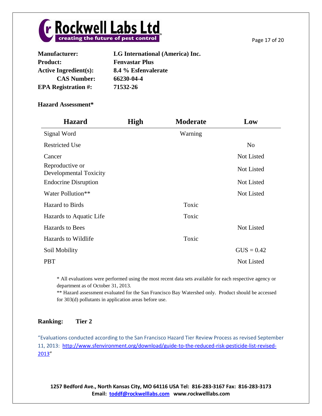

| <b>Manufacturer:</b>         | LG International (America) Inc. |
|------------------------------|---------------------------------|
| <b>Product:</b>              | <b>Fenvastar Plus</b>           |
| <b>Active Ingredient(s):</b> | 8.4 % Esfenvalerate             |
| <b>CAS Number:</b>           | 66230-04-4                      |
| <b>EPA Registration #:</b>   | 71532-26                        |

| <b>Hazard</b>                                    | <b>High</b> | <b>Moderate</b> | Low               |
|--------------------------------------------------|-------------|-----------------|-------------------|
| Signal Word                                      |             | Warning         |                   |
| <b>Restricted Use</b>                            |             |                 | N <sub>o</sub>    |
| Cancer                                           |             |                 | Not Listed        |
| Reproductive or<br><b>Developmental Toxicity</b> |             |                 | Not Listed        |
| <b>Endocrine Disruption</b>                      |             |                 | Not Listed        |
| Water Pollution**                                |             |                 | Not Listed        |
| <b>Hazard</b> to Birds                           |             | Toxic           |                   |
| Hazards to Aquatic Life                          |             | Toxic           |                   |
| <b>Hazards to Bees</b>                           |             |                 | Not Listed        |
| Hazards to Wildlife                              |             | Toxic           |                   |
| Soil Mobility                                    |             |                 | $GUS = 0.42$      |
| <b>PBT</b>                                       |             |                 | <b>Not Listed</b> |

\* All evaluations were performed using the most recent data sets available for each respective agency or department as of October 31, 2013.

\*\* Hazard assessment evaluated for the San Francisco Bay Watershed only. Product should be accessed for 303(d) pollutants in application areas before use.

# **Ranking: Tier 2**

"Evaluations conducted according to the San Francisco Hazard Tier Review Process as revised September 11, 2013: [http://www.sfenvironment.org/download/guide-to-the-reduced-risk-pesticide-list-revised-](http://www.sfenvironment.org/download/guide-to-the-reduced-risk-pesticide-list-revised-2013)[2013](http://www.sfenvironment.org/download/guide-to-the-reduced-risk-pesticide-list-revised-2013)"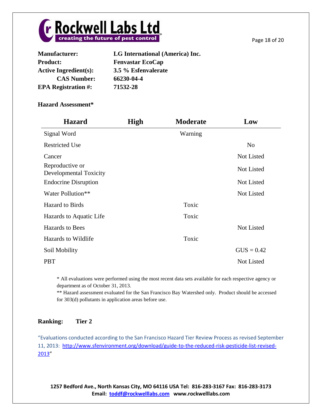

| <b>Manufacturer:</b>         | LG International (America) Inc. |
|------------------------------|---------------------------------|
| <b>Product:</b>              | <b>Fenvastar EcoCap</b>         |
| <b>Active Ingredient(s):</b> | 3.5 % Esfenvalerate             |
| <b>CAS Number:</b>           | 66230-04-4                      |
| <b>EPA Registration #:</b>   | 71532-28                        |

| <b>Hazard</b>                                    | <b>High</b> | <b>Moderate</b> | Low            |
|--------------------------------------------------|-------------|-----------------|----------------|
| Signal Word                                      |             | Warning         |                |
| <b>Restricted Use</b>                            |             |                 | N <sub>o</sub> |
| Cancer                                           |             |                 | Not Listed     |
| Reproductive or<br><b>Developmental Toxicity</b> |             |                 | Not Listed     |
| <b>Endocrine Disruption</b>                      |             |                 | Not Listed     |
| Water Pollution**                                |             |                 | Not Listed     |
| <b>Hazard</b> to Birds                           |             | Toxic           |                |
| Hazards to Aquatic Life                          |             | Toxic           |                |
| <b>Hazards</b> to Bees                           |             |                 | Not Listed     |
| Hazards to Wildlife                              |             | Toxic           |                |
| Soil Mobility                                    |             |                 | $GUS = 0.42$   |
| <b>PBT</b>                                       |             |                 | Not Listed     |

\* All evaluations were performed using the most recent data sets available for each respective agency or department as of October 31, 2013.

\*\* Hazard assessment evaluated for the San Francisco Bay Watershed only. Product should be accessed for 303(d) pollutants in application areas before use.

# **Ranking: Tier 2**

"Evaluations conducted according to the San Francisco Hazard Tier Review Process as revised September 11, 2013: [http://www.sfenvironment.org/download/guide-to-the-reduced-risk-pesticide-list-revised-](http://www.sfenvironment.org/download/guide-to-the-reduced-risk-pesticide-list-revised-2013)[2013](http://www.sfenvironment.org/download/guide-to-the-reduced-risk-pesticide-list-revised-2013)"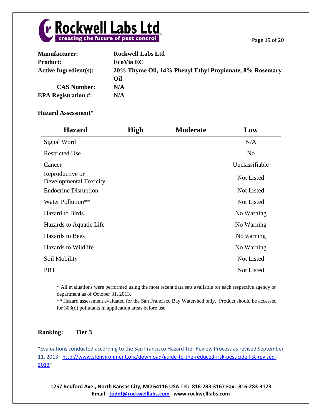

| <b>Manufacturer:</b>       | <b>Rockwell Labs Ltd</b>                                |
|----------------------------|---------------------------------------------------------|
| <b>Product:</b>            | <b>EcoVia EC</b>                                        |
| Active Ingredient $(s)$ :  | 20% Thyme Oil, 14% Phenyl Ethyl Propionate, 8% Rosemary |
|                            | Oil                                                     |
| <b>CAS Number:</b>         | N/A                                                     |
| <b>EPA Registration #:</b> | N/A                                                     |

| <b>Hazard</b>                             | <b>High</b> | <b>Moderate</b> | Low               |
|-------------------------------------------|-------------|-----------------|-------------------|
| Signal Word                               |             |                 | N/A               |
| <b>Restricted Use</b>                     |             |                 | N <sub>0</sub>    |
| Cancer                                    |             |                 | Unclassifiable    |
| Reproductive or<br>Developmental Toxicity |             |                 | Not Listed        |
| <b>Endocrine Disruption</b>               |             |                 | Not Listed        |
| Water Pollution**                         |             |                 | Not Listed        |
| <b>Hazard</b> to Birds                    |             |                 | No Warning        |
| Hazards to Aquatic Life                   |             |                 | No Warning        |
| <b>Hazards</b> to Bees                    |             |                 | No warning        |
| Hazards to Wildlife                       |             |                 | No Warning        |
| Soil Mobility                             |             |                 | <b>Not Listed</b> |
| <b>PBT</b>                                |             |                 | <b>Not Listed</b> |

\* All evaluations were performed using the most recent data sets available for each respective agency or department as of October 31, 2013.

\*\* Hazard assessment evaluated for the San Francisco Bay Watershed only. Product should be accessed for 303(d) pollutants in application areas before use.

# **Ranking: Tier 3**

"Evaluations conducted according to the San Francisco Hazard Tier Review Process as revised September 11, 2013: [http://www.sfenvironment.org/download/guide-to-the-reduced-risk-pesticide-list-revised-](http://www.sfenvironment.org/download/guide-to-the-reduced-risk-pesticide-list-revised-2013)[2013](http://www.sfenvironment.org/download/guide-to-the-reduced-risk-pesticide-list-revised-2013)"